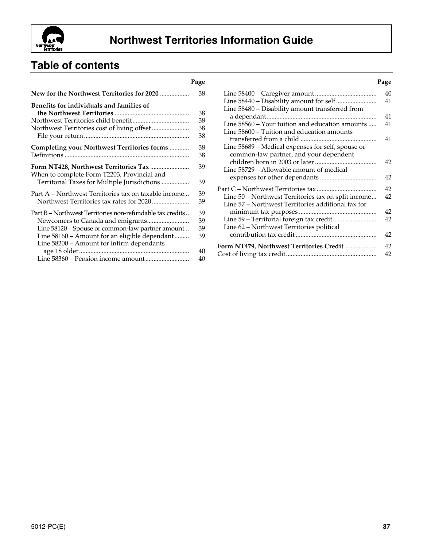

# **Table of contents**

|                                                                                             | rage     |
|---------------------------------------------------------------------------------------------|----------|
| New for the Northwest Territories for 2020                                                  | 38       |
| Benefits for individuals and families of                                                    | 38       |
|                                                                                             | 38       |
|                                                                                             | 38       |
|                                                                                             | 38       |
| Completing your Northwest Territories forms                                                 | 38       |
|                                                                                             | 38       |
| When to complete Form T2203, Provincial and<br>Territorial Taxes for Multiple Jurisdictions | 39<br>39 |
|                                                                                             |          |
| Part A - Northwest Territories tax on taxable income                                        | 39       |
|                                                                                             | 39       |
| Part B – Northwest Territories non-refundable tax credits                                   | 39       |
|                                                                                             | 39       |
| Line 58120 - Spouse or common-law partner amount                                            | 39       |
| Line 58160 – Amount for an eligible dependant                                               | 39       |
| Line 58200 - Amount for infirm dependants                                                   |          |
|                                                                                             | 40       |
|                                                                                             | 40       |
|                                                                                             |          |

| Page             |                                                     | Page |
|------------------|-----------------------------------------------------|------|
| 38               |                                                     | 40   |
|                  |                                                     | 41   |
| 38               | Line 58480 - Disability amount transferred from     | 41   |
| 38               | Line 58560 - Your tuition and education amounts     | 41   |
| 38               | Line 58600 - Tuition and education amounts          |      |
| 38               |                                                     | 41   |
| 38               | Line 58689 - Medical expenses for self, spouse or   |      |
| 38               | common-law partner, and your dependent              |      |
| 39               | Line 58729 – Allowable amount of medical            | 42   |
| 39               |                                                     | 42   |
|                  |                                                     | 42   |
| 39               | Line 50 – Northwest Territories tax on split income | 42   |
| 39               | Line 57 – Northwest Territories additional tax for  |      |
| 39               |                                                     | 42   |
| 39               |                                                     | 42   |
| 39               | Line 62 - Northwest Territories political           |      |
| 39               |                                                     | 42   |
|                  | Form NT479, Northwest Territories Credit            | 42   |
| 40<br>$\sqrt{ }$ |                                                     | 42   |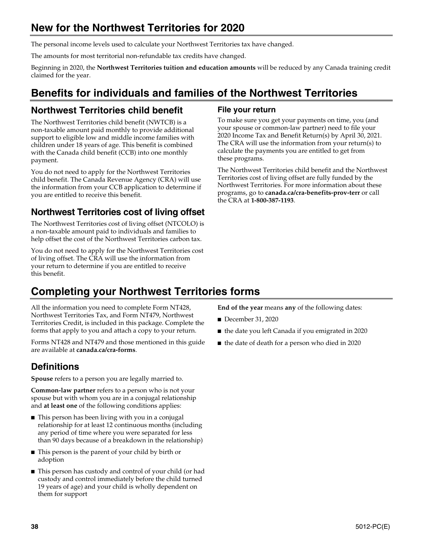# **New for the Northwest Territories for 2020**

The personal income levels used to calculate your Northwest Territories tax have changed.

The amounts for most territorial non-refundable tax credits have changed.

Beginning in 2020, the **Northwest Territories tuition and education amounts** will be reduced by any Canada training credit claimed for the year.

# **Benefits for individuals and families of the Northwest Territories**

# **Northwest Territories child benefit**

The Northwest Territories child benefit (NWTCB) is a non-taxable amount paid monthly to provide additional support to eligible low and middle income families with children under 18 years of age. This benefit is combined with the Canada child benefit (CCB) into one monthly payment.

You do not need to apply for the Northwest Territories child benefit. The Canada Revenue Agency (CRA) will use the information from your CCB application to determine if you are entitled to receive this benefit.

# **Northwest Territories cost of living offset**

The Northwest Territories cost of living offset (NTCOLO) is a non-taxable amount paid to individuals and families to help offset the cost of the Northwest Territories carbon tax.

You do not need to apply for the Northwest Territories cost of living offset. The CRA will use the information from your return to determine if you are entitled to receive this benefit.

# **Completing your Northwest Territories forms**

All the information you need to complete Form NT428, Northwest Territories Tax, and Form NT479, Northwest Territories Credit, is included in this package. Complete the forms that apply to you and attach a copy to your return.

Forms NT428 and NT479 and those mentioned in this guide are available at **canada.ca/cra-forms**.

# **Definitions**

**Spouse** refers to a person you are legally married to.

**Common-law partner** refers to a person who is not your spouse but with whom you are in a conjugal relationship and **at least one** of the following conditions applies:

- This person has been living with you in a conjugal relationship for at least 12 continuous months (including any period of time where you were separated for less than 90 days because of a breakdown in the relationship)
- This person is the parent of your child by birth or adoption
- This person has custody and control of your child (or had custody and control immediately before the child turned 19 years of age) and your child is wholly dependent on them for support

### **File your return**

To make sure you get your payments on time, you (and your spouse or common-law partner) need to file your 2020 Income Tax and Benefit Return(s) by April 30, 2021. The CRA will use the information from your return(s) to calculate the payments you are entitled to get from these programs.

The Northwest Territories child benefit and the Northwest Territories cost of living offset are fully funded by the Northwest Territories. For more information about these programs, go to **canada.ca/cra-benefits-prov-terr** or call the CRA at **1-800-387-1193**.

**End of the year** means **any** of the following dates:

- December 31, 2020
- the date you left Canada if you emigrated in 2020
- the date of death for a person who died in 2020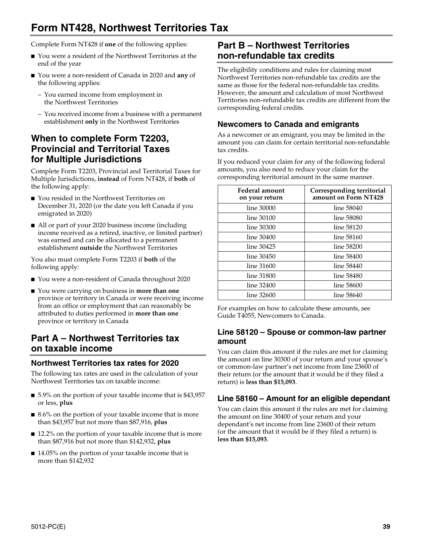# **Form NT428, Northwest Territories Tax**

Complete Form NT428 if **one** of the following applies:

- You were a resident of the Northwest Territories at the end of the year
- You were a non-resident of Canada in 2020 and **any** of the following applies:
	- You earned income from employment in the Northwest Territories
	- You received income from a business with a permanent establishment **only** in the Northwest Territories

# **When to complete Form T2203, Provincial and Territorial Taxes for Multiple Jurisdictions**

Complete Form T2203, Provincial and Territorial Taxes for Multiple Jurisdictions, **instead** of Form NT428, if **both** of the following apply:

- You resided in the Northwest Territories on December 31, 2020 (or the date you left Canada if you emigrated in 2020)
- All or part of your 2020 business income (including income received as a retired, inactive, or limited partner) was earned and can be allocated to a permanent establishment **outside** the Northwest Territories

You also must complete Form T2203 if **both** of the following apply:

- You were a non-resident of Canada throughout 2020
- You were carrying on business in **more than one** province or territory in Canada or were receiving income from an office or employment that can reasonably be attributed to duties performed in **more than one**  province or territory in Canada

# **Part A – Northwest Territories tax on taxable income**

## **Northwest Territories tax rates for 2020**

The following tax rates are used in the calculation of your Northwest Territories tax on taxable income:

- 5.9% on the portion of your taxable income that is \$43,957 or less, **plus**
- 8.6% on the portion of your taxable income that is more than \$43,957 but not more than \$87,916, **plus**
- 12.2% on the portion of your taxable income that is more than \$87,916 but not more than \$142,932, **plus**
- 14.05% on the portion of your taxable income that is more than \$142,932

# **Part B – Northwest Territories non-refundable tax credits**

The eligibility conditions and rules for claiming most Northwest Territories non-refundable tax credits are the same as those for the federal non-refundable tax credits. However, the amount and calculation of most Northwest Territories non-refundable tax credits are different from the corresponding federal credits.

## **Newcomers to Canada and emigrants**

As a newcomer or an emigrant, you may be limited in the amount you can claim for certain territorial non-refundable tax credits.

If you reduced your claim for any of the following federal amounts, you also need to reduce your claim for the corresponding territorial amount in the same manner.

| Federal amount<br>on your return | Corresponding territorial<br>amount on Form NT428 |
|----------------------------------|---------------------------------------------------|
| line 30000                       | line 58040                                        |
| line 30100                       | line 58080                                        |
| line 30300                       | line 58120                                        |
| line 30400                       | line 58160                                        |
| line 30425                       | line 58200                                        |
| line 30450                       | line 58400                                        |
| line 31600                       | line 58440                                        |
| line 31800                       | line 58480                                        |
| line 32400                       | line 58600                                        |
| line 32600                       | line 58640                                        |

For examples on how to calculate these amounts, see Guide T4055, Newcomers to Canada.

### **Line 58120 – Spouse or common-law partner amount**

You can claim this amount if the rules are met for claiming the amount on line 30300 of your return and your spouse's or common-law partner's net income from line 23600 of their return (or the amount that it would be if they filed a return) is **less than \$15,093**.

## **Line 58160 – Amount for an eligible dependant**

You can claim this amount if the rules are met for claiming the amount on line 30400 of your return and your dependant's net income from line 23600 of their return (or the amount that it would be if they filed a return) is **less than \$15,093**.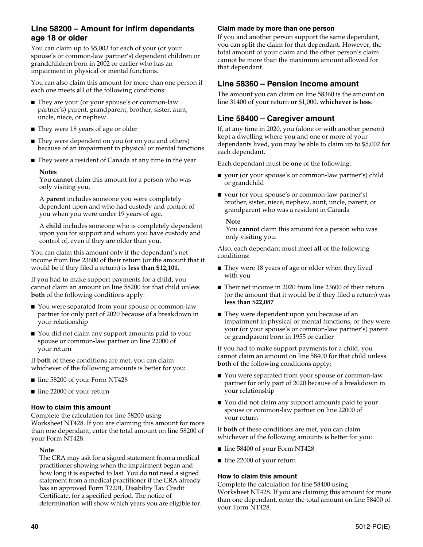## **Line 58200 – Amount for infirm dependants age 18 or older**

You can claim up to \$5,003 for each of your (or your spouse's or common-law partner's) dependent children or grandchildren born in 2002 or earlier who has an impairment in physical or mental functions.

You can also claim this amount for more than one person if each one meets **all** of the following conditions:

- They are your (or your spouse's or common-law partner's) parent, grandparent, brother, sister, aunt, uncle, niece, or nephew
- They were 18 years of age or older
- They were dependent on you (or on you and others) because of an impairment in physical or mental functions
- They were a resident of Canada at any time in the year

#### **Notes**

You **cannot** claim this amount for a person who was only visiting you.

A **parent** includes someone you were completely dependent upon and who had custody and control of you when you were under 19 years of age.

A **child** includes someone who is completely dependent upon you for support and whom you have custody and control of, even if they are older than you.

You can claim this amount only if the dependant's net income from line 23600 of their return (or the amount that it would be if they filed a return) is **less than \$12,101**.

If you had to make support payments for a child, you cannot claim an amount on line 58200 for that child unless **both** of the following conditions apply:

- You were separated from your spouse or common-law partner for only part of 2020 because of a breakdown in your relationship
- You did not claim any support amounts paid to your spouse or common-law partner on line 22000 of your return

If **both** of these conditions are met, you can claim whichever of the following amounts is better for you:

- line 58200 of your Form NT428
- line 22000 of your return

#### **How to claim this amount**

Complete the calculation for line 58200 using Worksheet NT428. If you are claiming this amount for more than one dependant, enter the total amount on line 58200 of your Form NT428.

#### **Note**

The CRA may ask for a signed statement from a medical practitioner showing when the impairment began and how long it is expected to last. You do **not** need a signed statement from a medical practitioner if the CRA already has an approved Form T2201, Disability Tax Credit Certificate, for a specified period. The notice of determination will show which years you are eligible for.

#### **Claim made by more than one person**

If you and another person support the same dependant, you can split the claim for that dependant. However, the total amount of your claim and the other person's claim cannot be more than the maximum amount allowed for that dependant.

### **Line 58360 – Pension income amount**

The amount you can claim on line 58360 is the amount on line 31400 of your return **or** \$1,000, **whichever is less**.

## **Line 58400 – Caregiver amount**

If, at any time in 2020, you (alone or with another person) kept a dwelling where you and one or more of your dependants lived, you may be able to claim up to \$5,002 for each dependant.

Each dependant must be **one** of the following:

- your (or your spouse's or common-law partner's) child or grandchild
- your (or your spouse's or common-law partner's) brother, sister, niece, nephew, aunt, uncle, parent, or grandparent who was a resident in Canada

#### **Note**

You **cannot** claim this amount for a person who was only visiting you.

Also, each dependant must meet **all** of the following conditions:

- They were 18 years of age or older when they lived with you
- Their net income in 2020 from line 23600 of their return (or the amount that it would be if they filed a return) was **less than \$22,087**
- They were dependent upon you because of an impairment in physical or mental functions, or they were your (or your spouse's or common-law partner's) parent or grandparent born in 1955 or earlier

If you had to make support payments for a child, you cannot claim an amount on line 58400 for that child unless **both** of the following conditions apply:

- You were separated from your spouse or common-law partner for only part of 2020 because of a breakdown in your relationship
- You did not claim any support amounts paid to your spouse or common-law partner on line 22000 of your return

If **both** of these conditions are met, you can claim whichever of the following amounts is better for you:

- line 58400 of your Form NT428
- line 22000 of your return

#### **How to claim this amount**

Complete the calculation for line 58400 using Worksheet NT428. If you are claiming this amount for more than one dependant, enter the total amount on line 58400 of your Form NT428.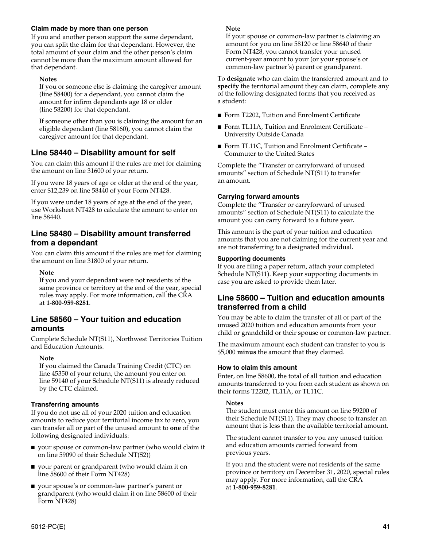#### **Claim made by more than one person**

If you and another person support the same dependant, you can split the claim for that dependant. However, the total amount of your claim and the other person's claim cannot be more than the maximum amount allowed for that dependant.

#### **Notes**

If you or someone else is claiming the caregiver amount (line 58400) for a dependant, you cannot claim the amount for infirm dependants age 18 or older (line 58200) for that dependant.

If someone other than you is claiming the amount for an eligible dependant (line 58160), you cannot claim the caregiver amount for that dependant.

## **Line 58440 – Disability amount for self**

You can claim this amount if the rules are met for claiming the amount on line 31600 of your return.

If you were 18 years of age or older at the end of the year, enter \$12,239 on line 58440 of your Form NT428.

If you were under 18 years of age at the end of the year, use Worksheet NT428 to calculate the amount to enter on line 58440.

### **Line 58480 – Disability amount transferred from a dependant**

You can claim this amount if the rules are met for claiming the amount on line 31800 of your return.

#### **Note**

If you and your dependant were not residents of the same province or territory at the end of the year, special rules may apply. For more information, call the CRA at **1-800-959-8281**.

#### **Line 58560 – Your tuition and education amounts**

Complete Schedule NT(S11), Northwest Territories Tuition and Education Amounts.

#### **Note**

If you claimed the Canada Training Credit (CTC) on line 45350 of your return, the amount you enter on line 59140 of your Schedule NT(S11) is already reduced by the CTC claimed.

#### **Transferring amounts**

If you do not use all of your 2020 tuition and education amounts to reduce your territorial income tax to zero, you can transfer all or part of the unused amount to **one** of the following designated individuals:

- your spouse or common-law partner (who would claim it on line 59090 of their Schedule NT(S2))
- your parent or grandparent (who would claim it on line 58600 of their Form NT428)
- your spouse's or common-law partner's parent or grandparent (who would claim it on line 58600 of their Form NT428)

#### **Note**

If your spouse or common-law partner is claiming an amount for you on line 58120 or line 58640 of their Form NT428, you cannot transfer your unused current-year amount to your (or your spouse's or common-law partner's) parent or grandparent.

To **designate** who can claim the transferred amount and to **specify** the territorial amount they can claim, complete any of the following designated forms that you received as a student:

- Form T2202, Tuition and Enrolment Certificate
- Form TL11A, Tuition and Enrolment Certificate University Outside Canada
- Form TL11C, Tuition and Enrolment Certificate Commuter to the United States

Complete the "Transfer or carryforward of unused amounts" section of Schedule NT(S11) to transfer an amount.

#### **Carrying forward amounts**

Complete the "Transfer or carryforward of unused amounts" section of Schedule NT(S11) to calculate the amount you can carry forward to a future year.

This amount is the part of your tuition and education amounts that you are not claiming for the current year and are not transferring to a designated individual.

#### **Supporting documents**

If you are filing a paper return, attach your completed Schedule NT(S11). Keep your supporting documents in case you are asked to provide them later.

### **Line 58600 – Tuition and education amounts transferred from a child**

You may be able to claim the transfer of all or part of the unused 2020 tuition and education amounts from your child or grandchild or their spouse or common-law partner.

The maximum amount each student can transfer to you is \$5,000 **minus** the amount that they claimed.

#### **How to claim this amount**

Enter, on line 58600, the total of all tuition and education amounts transferred to you from each student as shown on their forms T2202, TL11A, or TL11C.

#### **Notes**

The student must enter this amount on line 59200 of their Schedule NT(S11). They may choose to transfer an amount that is less than the available territorial amount.

The student cannot transfer to you any unused tuition and education amounts carried forward from previous years.

If you and the student were not residents of the same province or territory on December 31, 2020, special rules may apply. For more information, call the CRA at **1-800-959-8281**.